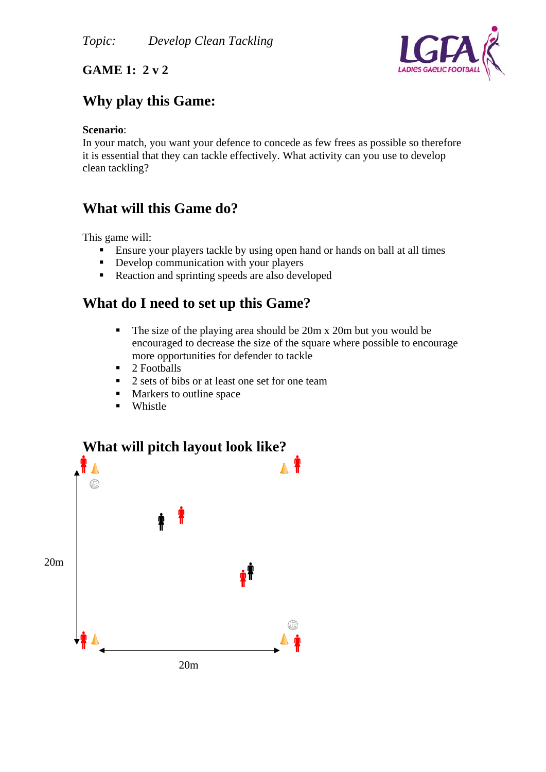

#### **GAME 1: 2 v 2**

## **Why play this Game:**

#### **Scenario**:

In your match, you want your defence to concede as few frees as possible so therefore it is essential that they can tackle effectively. What activity can you use to develop clean tackling?

# **What will this Game do?**

This game will:

- Ensure your players tackle by using open hand or hands on ball at all times
- Develop communication with your players
- Reaction and sprinting speeds are also developed

## **What do I need to set up this Game?**

- The size of the playing area should be 20m x 20m but you would be encouraged to decrease the size of the square where possible to encourage more opportunities for defender to tackle
- $\blacksquare$  2. Footballs
- 2 sets of bibs or at least one set for one team
- **Markers to outline space**
- **Whistle**

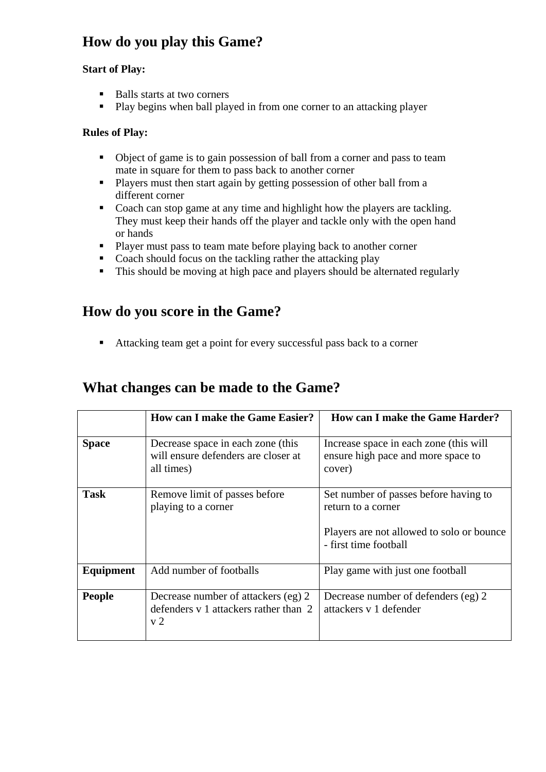# **How do you play this Game?**

#### **Start of Play:**

- Balls starts at two corners
- **Play begins when ball played in from one corner to an attacking player**

#### **Rules of Play:**

- Object of game is to gain possession of ball from a corner and pass to team mate in square for them to pass back to another corner
- **Players must then start again by getting possession of other ball from a** different corner
- Coach can stop game at any time and highlight how the players are tackling. They must keep their hands off the player and tackle only with the open hand or hands
- **Player must pass to team mate before playing back to another corner**
- Coach should focus on the tackling rather the attacking play
- This should be moving at high pace and players should be alternated regularly

### **How do you score in the Game?**

Attacking team get a point for every successful pass back to a corner

### **What changes can be made to the Game?**

|               | <b>How can I make the Game Easier?</b>                                                         | <b>How can I make the Game Harder?</b>                                                                                            |
|---------------|------------------------------------------------------------------------------------------------|-----------------------------------------------------------------------------------------------------------------------------------|
| <b>Space</b>  | Decrease space in each zone (this<br>will ensure defenders are closer at<br>all times)         | Increase space in each zone (this will<br>ensure high pace and more space to<br>cover)                                            |
| <b>Task</b>   | Remove limit of passes before<br>playing to a corner                                           | Set number of passes before having to<br>return to a corner<br>Players are not allowed to solo or bounce<br>- first time football |
| Equipment     | Add number of footballs                                                                        | Play game with just one football                                                                                                  |
| <b>People</b> | Decrease number of attackers (eg) 2<br>defenders v 1 attackers rather than 2<br>v <sub>2</sub> | Decrease number of defenders (eg) 2<br>attackers y 1 defender                                                                     |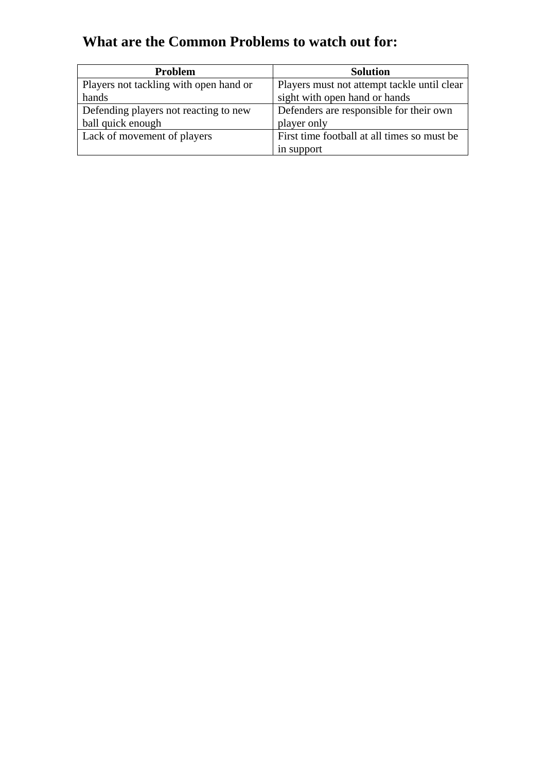# **What are the Common Problems to watch out for:**

| <b>Problem</b>                         | <b>Solution</b>                             |
|----------------------------------------|---------------------------------------------|
| Players not tackling with open hand or | Players must not attempt tackle until clear |
| hands                                  | sight with open hand or hands               |
| Defending players not reacting to new  | Defenders are responsible for their own     |
| ball quick enough                      | player only                                 |
| Lack of movement of players            | First time football at all times so must be |
|                                        | in support                                  |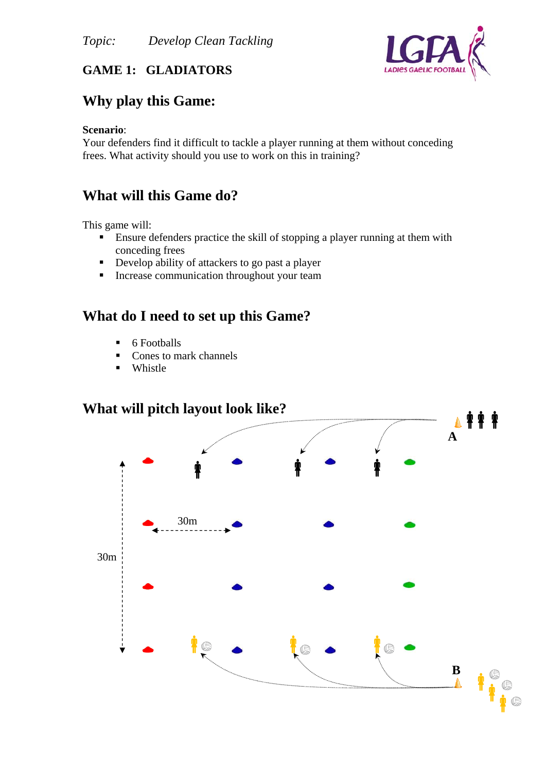

#### **GAME 1: GLADIATORS**

### **Why play this Game:**

#### **Scenario**:

Your defenders find it difficult to tackle a player running at them without conceding frees. What activity should you use to work on this in training?

### **What will this Game do?**

This game will:

- **Ensure defenders practice the skill of stopping a player running at them with** conceding frees
- Develop ability of attackers to go past a player
- **Increase communication throughout your team**

### **What do I need to set up this Game?**

- 6 Footballs
- Cones to mark channels
- Whistle

# **What will pitch layout look like?**

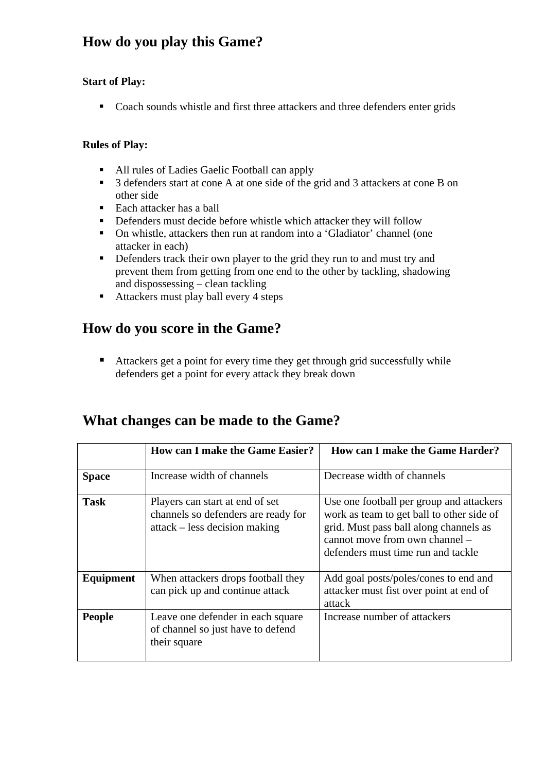# **How do you play this Game?**

#### **Start of Play:**

Coach sounds whistle and first three attackers and three defenders enter grids

#### **Rules of Play:**

- All rules of Ladies Gaelic Football can apply
- 3 defenders start at cone A at one side of the grid and 3 attackers at cone B on other side
- $\blacksquare$  Each attacker has a ball
- **•** Defenders must decide before whistle which attacker they will follow
- On whistle, attackers then run at random into a 'Gladiator' channel (one attacker in each)
- Defenders track their own player to the grid they run to and must try and prevent them from getting from one end to the other by tackling, shadowing and dispossessing – clean tackling
- Attackers must play ball every 4 steps

### **How do you score in the Game?**

■ Attackers get a point for every time they get through grid successfully while defenders get a point for every attack they break down

#### **What changes can be made to the Game?**

|               | <b>How can I make the Game Easier?</b>                                                                  | How can I make the Game Harder?                                                                                                                                                                         |
|---------------|---------------------------------------------------------------------------------------------------------|---------------------------------------------------------------------------------------------------------------------------------------------------------------------------------------------------------|
| <b>Space</b>  | Increase width of channels                                                                              | Decrease width of channels                                                                                                                                                                              |
| <b>Task</b>   | Players can start at end of set<br>channels so defenders are ready for<br>attack – less decision making | Use one football per group and attackers<br>work as team to get ball to other side of<br>grid. Must pass ball along channels as<br>cannot move from own channel -<br>defenders must time run and tackle |
| Equipment     | When attackers drops football they<br>can pick up and continue attack                                   | Add goal posts/poles/cones to end and<br>attacker must fist over point at end of<br>attack                                                                                                              |
| <b>People</b> | Leave one defender in each square<br>of channel so just have to defend<br>their square                  | Increase number of attackers                                                                                                                                                                            |